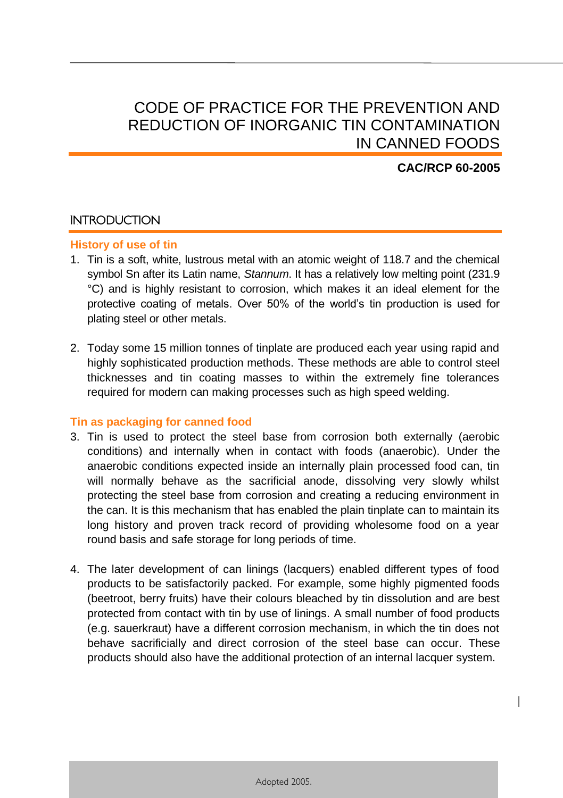# CODE OF PRACTICE FOR THE PREVENTION AND REDUCTION OF INORGANIC TIN CONTAMINATION IN CANNED FOODS

# **CAC/RCP 60-2005**

1

# **INTRODUCTION**

# **History of use of tin**

- 1. Tin is a soft, white, lustrous metal with an atomic weight of 118.7 and the chemical symbol Sn after its Latin name, *Stannum*. It has a relatively low melting point (231.9 °C) and is highly resistant to corrosion, which makes it an ideal element for the protective coating of metals. Over 50% of the world's tin production is used for plating steel or other metals.
- 2. Today some 15 million tonnes of tinplate are produced each year using rapid and highly sophisticated production methods. These methods are able to control steel thicknesses and tin coating masses to within the extremely fine tolerances required for modern can making processes such as high speed welding.

### **Tin as packaging for canned food**

- 3. Tin is used to protect the steel base from corrosion both externally (aerobic conditions) and internally when in contact with foods (anaerobic). Under the anaerobic conditions expected inside an internally plain processed food can, tin will normally behave as the sacrificial anode, dissolving very slowly whilst protecting the steel base from corrosion and creating a reducing environment in the can. It is this mechanism that has enabled the plain tinplate can to maintain its long history and proven track record of providing wholesome food on a year round basis and safe storage for long periods of time.
- 4. The later development of can linings (lacquers) enabled different types of food products to be satisfactorily packed. For example, some highly pigmented foods (beetroot, berry fruits) have their colours bleached by tin dissolution and are best protected from contact with tin by use of linings. A small number of food products (e.g. sauerkraut) have a different corrosion mechanism, in which the tin does not behave sacrificially and direct corrosion of the steel base can occur. These products should also have the additional protection of an internal lacquer system.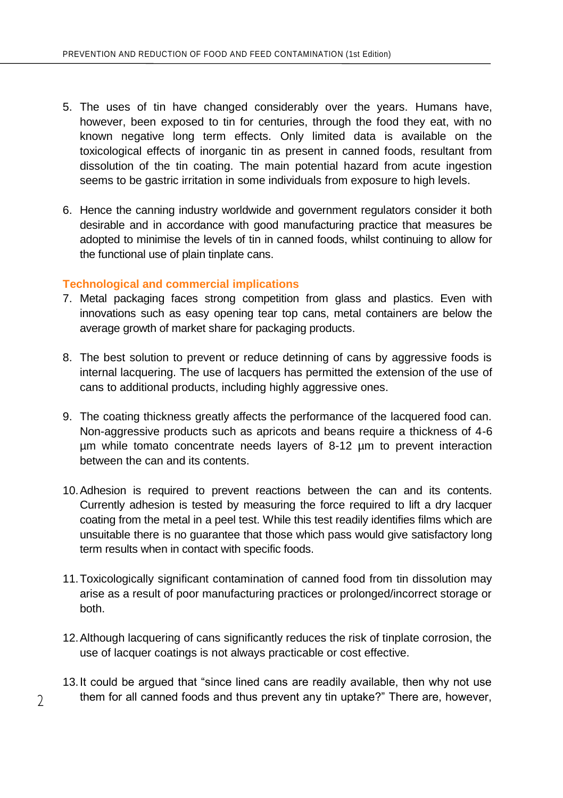- 5. The uses of tin have changed considerably over the years. Humans have, however, been exposed to tin for centuries, through the food they eat, with no known negative long term effects. Only limited data is available on the toxicological effects of inorganic tin as present in canned foods, resultant from dissolution of the tin coating. The main potential hazard from acute ingestion seems to be gastric irritation in some individuals from exposure to high levels.
- 6. Hence the canning industry worldwide and government regulators consider it both desirable and in accordance with good manufacturing practice that measures be adopted to minimise the levels of tin in canned foods, whilst continuing to allow for the functional use of plain tinplate cans.

### **Technological and commercial implications**

- 7. Metal packaging faces strong competition from glass and plastics. Even with innovations such as easy opening tear top cans, metal containers are below the average growth of market share for packaging products.
- 8. The best solution to prevent or reduce detinning of cans by aggressive foods is internal lacquering. The use of lacquers has permitted the extension of the use of cans to additional products, including highly aggressive ones.
- 9. The coating thickness greatly affects the performance of the lacquered food can. Non-aggressive products such as apricots and beans require a thickness of 4-6 µm while tomato concentrate needs layers of 8-12 µm to prevent interaction between the can and its contents.
- 10.Adhesion is required to prevent reactions between the can and its contents. Currently adhesion is tested by measuring the force required to lift a dry lacquer coating from the metal in a peel test. While this test readily identifies films which are unsuitable there is no guarantee that those which pass would give satisfactory long term results when in contact with specific foods.
- 11.Toxicologically significant contamination of canned food from tin dissolution may arise as a result of poor manufacturing practices or prolonged/incorrect storage or both.
- 12.Although lacquering of cans significantly reduces the risk of tinplate corrosion, the use of lacquer coatings is not always practicable or cost effective.
- 13.It could be argued that "since lined cans are readily available, then why not use them for all canned foods and thus prevent any tin uptake?" There are, however,

 $\mathfrak{D}$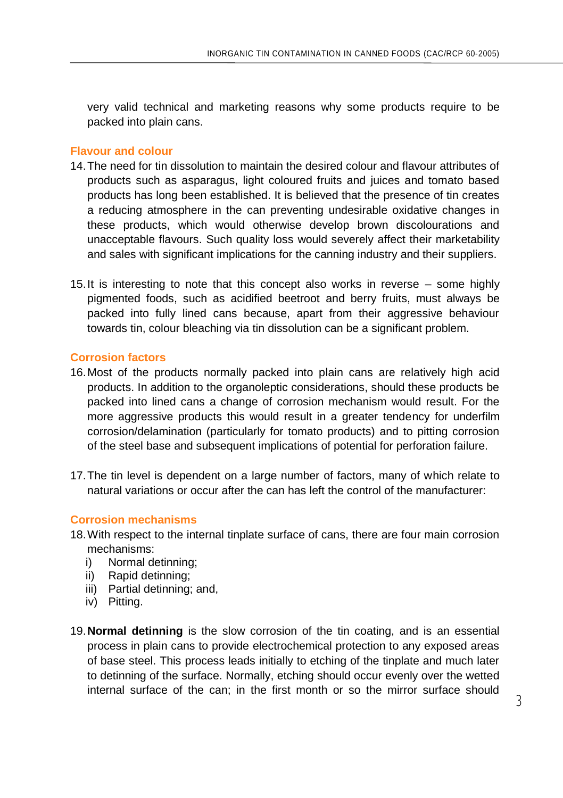very valid technical and marketing reasons why some products require to be packed into plain cans.

### **Flavour and colour**

- 14.The need for tin dissolution to maintain the desired colour and flavour attributes of products such as asparagus, light coloured fruits and juices and tomato based products has long been established. It is believed that the presence of tin creates a reducing atmosphere in the can preventing undesirable oxidative changes in these products, which would otherwise develop brown discolourations and unacceptable flavours. Such quality loss would severely affect their marketability and sales with significant implications for the canning industry and their suppliers.
- 15.It is interesting to note that this concept also works in reverse some highly pigmented foods, such as acidified beetroot and berry fruits, must always be packed into fully lined cans because, apart from their aggressive behaviour towards tin, colour bleaching via tin dissolution can be a significant problem.

# **Corrosion factors**

- 16.Most of the products normally packed into plain cans are relatively high acid products. In addition to the organoleptic considerations, should these products be packed into lined cans a change of corrosion mechanism would result. For the more aggressive products this would result in a greater tendency for underfilm corrosion/delamination (particularly for tomato products) and to pitting corrosion of the steel base and subsequent implications of potential for perforation failure.
- 17.The tin level is dependent on a large number of factors, many of which relate to natural variations or occur after the can has left the control of the manufacturer:

### **Corrosion mechanisms**

- 18.With respect to the internal tinplate surface of cans, there are four main corrosion mechanisms:
	- i) Normal detinning;
	- ii) Rapid detinning;
	- iii) Partial detinning; and,
	- iv) Pitting.
- 19.**Normal detinning** is the slow corrosion of the tin coating, and is an essential process in plain cans to provide electrochemical protection to any exposed areas of base steel. This process leads initially to etching of the tinplate and much later to detinning of the surface. Normally, etching should occur evenly over the wetted internal surface of the can; in the first month or so the mirror surface should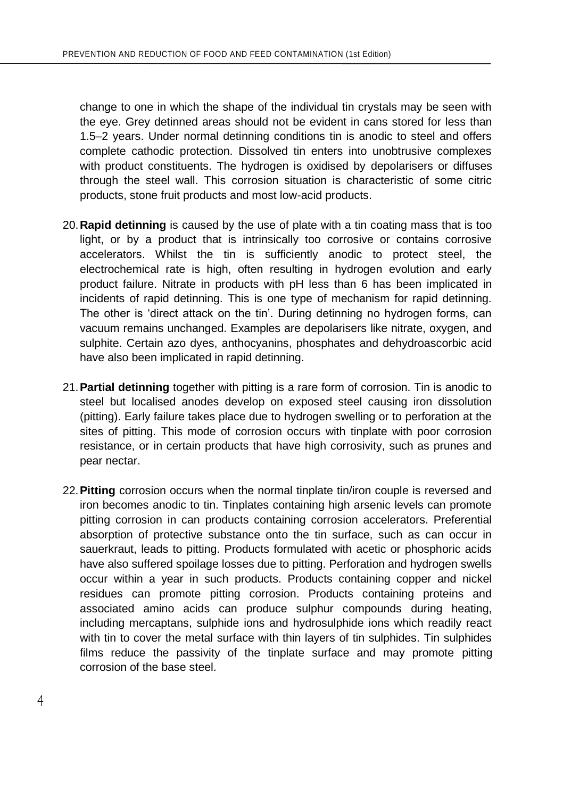change to one in which the shape of the individual tin crystals may be seen with the eye. Grey detinned areas should not be evident in cans stored for less than 1.5–2 years. Under normal detinning conditions tin is anodic to steel and offers complete cathodic protection. Dissolved tin enters into unobtrusive complexes with product constituents. The hydrogen is oxidised by depolarisers or diffuses through the steel wall. This corrosion situation is characteristic of some citric products, stone fruit products and most low-acid products.

- 20.**Rapid detinning** is caused by the use of plate with a tin coating mass that is too light, or by a product that is intrinsically too corrosive or contains corrosive accelerators. Whilst the tin is sufficiently anodic to protect steel, the electrochemical rate is high, often resulting in hydrogen evolution and early product failure. Nitrate in products with pH less than 6 has been implicated in incidents of rapid detinning. This is one type of mechanism for rapid detinning. The other is 'direct attack on the tin'. During detinning no hydrogen forms, can vacuum remains unchanged. Examples are depolarisers like nitrate, oxygen, and sulphite. Certain azo dyes, anthocyanins, phosphates and dehydroascorbic acid have also been implicated in rapid detinning.
- 21.**Partial detinning** together with pitting is a rare form of corrosion. Tin is anodic to steel but localised anodes develop on exposed steel causing iron dissolution (pitting). Early failure takes place due to hydrogen swelling or to perforation at the sites of pitting. This mode of corrosion occurs with tinplate with poor corrosion resistance, or in certain products that have high corrosivity, such as prunes and pear nectar.
- 22.**Pitting** corrosion occurs when the normal tinplate tin/iron couple is reversed and iron becomes anodic to tin. Tinplates containing high arsenic levels can promote pitting corrosion in can products containing corrosion accelerators. Preferential absorption of protective substance onto the tin surface, such as can occur in sauerkraut, leads to pitting. Products formulated with acetic or phosphoric acids have also suffered spoilage losses due to pitting. Perforation and hydrogen swells occur within a year in such products. Products containing copper and nickel residues can promote pitting corrosion. Products containing proteins and associated amino acids can produce sulphur compounds during heating, including mercaptans, sulphide ions and hydrosulphide ions which readily react with tin to cover the metal surface with thin layers of tin sulphides. Tin sulphides films reduce the passivity of the tinplate surface and may promote pitting corrosion of the base steel.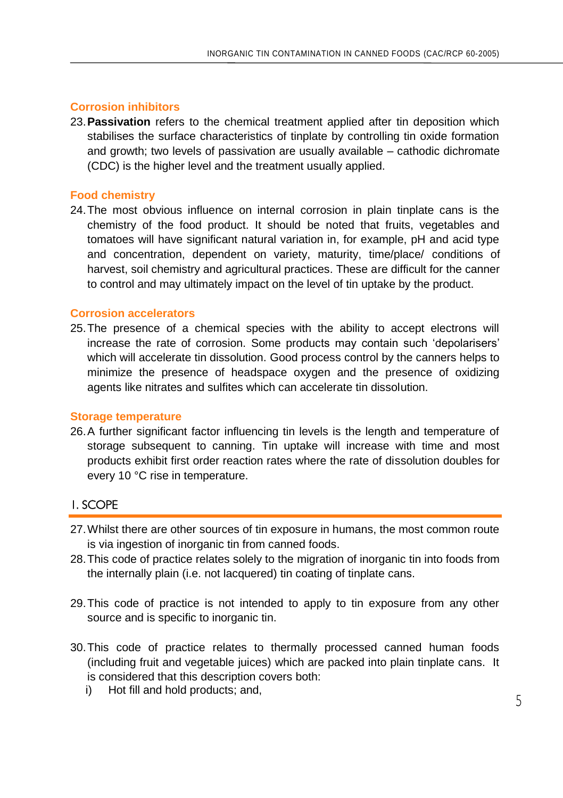## **Corrosion inhibitors**

23.**Passivation** refers to the chemical treatment applied after tin deposition which stabilises the surface characteristics of tinplate by controlling tin oxide formation and growth; two levels of passivation are usually available – cathodic dichromate (CDC) is the higher level and the treatment usually applied.

## **Food chemistry**

24.The most obvious influence on internal corrosion in plain tinplate cans is the chemistry of the food product. It should be noted that fruits, vegetables and tomatoes will have significant natural variation in, for example, pH and acid type and concentration, dependent on variety, maturity, time/place/ conditions of harvest, soil chemistry and agricultural practices. These are difficult for the canner to control and may ultimately impact on the level of tin uptake by the product.

### **Corrosion accelerators**

25.The presence of a chemical species with the ability to accept electrons will increase the rate of corrosion. Some products may contain such 'depolarisers' which will accelerate tin dissolution. Good process control by the canners helps to minimize the presence of headspace oxygen and the presence of oxidizing agents like nitrates and sulfites which can accelerate tin dissolution.

#### **Storage temperature**

26.A further significant factor influencing tin levels is the length and temperature of storage subsequent to canning. Tin uptake will increase with time and most products exhibit first order reaction rates where the rate of dissolution doubles for every 10 °C rise in temperature.

# 1. SCOPE

- 27.Whilst there are other sources of tin exposure in humans, the most common route is via ingestion of inorganic tin from canned foods.
- 28.This code of practice relates solely to the migration of inorganic tin into foods from the internally plain (i.e. not lacquered) tin coating of tinplate cans.
- 29.This code of practice is not intended to apply to tin exposure from any other source and is specific to inorganic tin.
- 30.This code of practice relates to thermally processed canned human foods (including fruit and vegetable juices) which are packed into plain tinplate cans. It is considered that this description covers both:
	- i) Hot fill and hold products; and,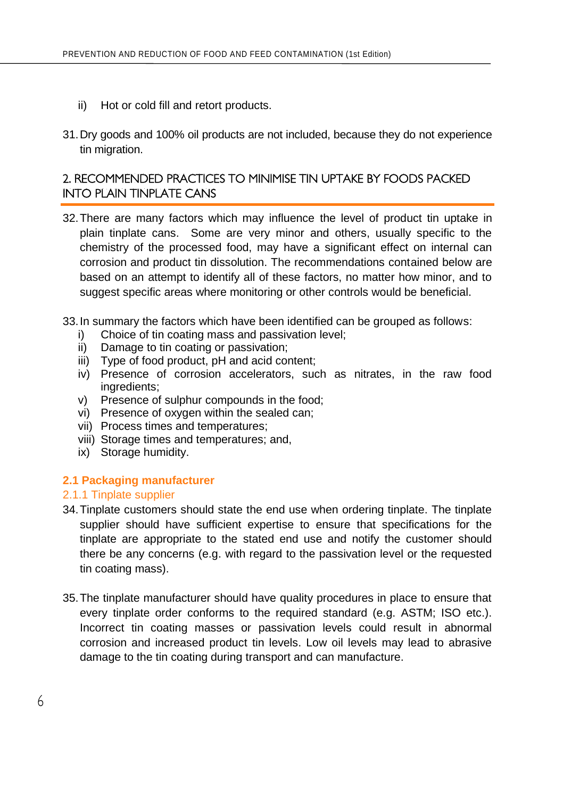- ii) Hot or cold fill and retort products.
- 31.Dry goods and 100% oil products are not included, because they do not experience tin migration.

# 2. RECOMMENDED PRACTICES TO MINIMISE TIN UPTAKE BY FOODS PACKED INTO PLAIN TINPLATE CANS

- 32.There are many factors which may influence the level of product tin uptake in plain tinplate cans. Some are very minor and others, usually specific to the chemistry of the processed food, may have a significant effect on internal can corrosion and product tin dissolution. The recommendations contained below are based on an attempt to identify all of these factors, no matter how minor, and to suggest specific areas where monitoring or other controls would be beneficial.
- 33.In summary the factors which have been identified can be grouped as follows:
	- i) Choice of tin coating mass and passivation level;
	- ii) Damage to tin coating or passivation;
	- iii) Type of food product, pH and acid content;
	- iv) Presence of corrosion accelerators, such as nitrates, in the raw food ingredients;
	- v) Presence of sulphur compounds in the food;
	- vi) Presence of oxygen within the sealed can;
	- vii) Process times and temperatures;
	- viii) Storage times and temperatures; and,
	- ix) Storage humidity.

### **2.1 Packaging manufacturer**

### 2.1.1 Tinplate supplier

- 34.Tinplate customers should state the end use when ordering tinplate. The tinplate supplier should have sufficient expertise to ensure that specifications for the tinplate are appropriate to the stated end use and notify the customer should there be any concerns (e.g. with regard to the passivation level or the requested tin coating mass).
- 35.The tinplate manufacturer should have quality procedures in place to ensure that every tinplate order conforms to the required standard (e.g. ASTM; ISO etc.). Incorrect tin coating masses or passivation levels could result in abnormal corrosion and increased product tin levels. Low oil levels may lead to abrasive damage to the tin coating during transport and can manufacture.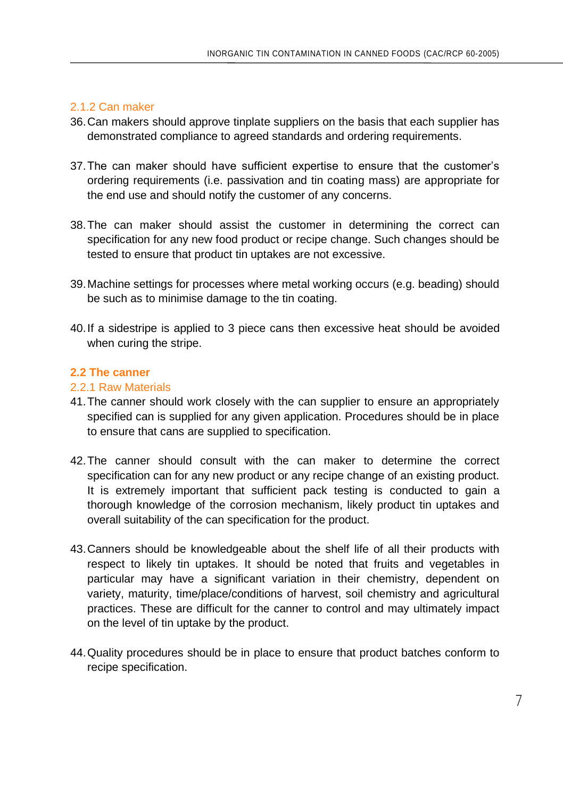# 2.1.2 Can maker

- 36.Can makers should approve tinplate suppliers on the basis that each supplier has demonstrated compliance to agreed standards and ordering requirements.
- 37.The can maker should have sufficient expertise to ensure that the customer's ordering requirements (i.e. passivation and tin coating mass) are appropriate for the end use and should notify the customer of any concerns.
- 38.The can maker should assist the customer in determining the correct can specification for any new food product or recipe change. Such changes should be tested to ensure that product tin uptakes are not excessive.
- 39.Machine settings for processes where metal working occurs (e.g. beading) should be such as to minimise damage to the tin coating.
- 40.If a sidestripe is applied to 3 piece cans then excessive heat should be avoided when curing the stripe.

# **2.2 The canner**

### 2.2.1 Raw Materials

- 41.The canner should work closely with the can supplier to ensure an appropriately specified can is supplied for any given application. Procedures should be in place to ensure that cans are supplied to specification.
- 42.The canner should consult with the can maker to determine the correct specification can for any new product or any recipe change of an existing product. It is extremely important that sufficient pack testing is conducted to gain a thorough knowledge of the corrosion mechanism, likely product tin uptakes and overall suitability of the can specification for the product.
- 43.Canners should be knowledgeable about the shelf life of all their products with respect to likely tin uptakes. It should be noted that fruits and vegetables in particular may have a significant variation in their chemistry, dependent on variety, maturity, time/place/conditions of harvest, soil chemistry and agricultural practices. These are difficult for the canner to control and may ultimately impact on the level of tin uptake by the product.
- 44.Quality procedures should be in place to ensure that product batches conform to recipe specification.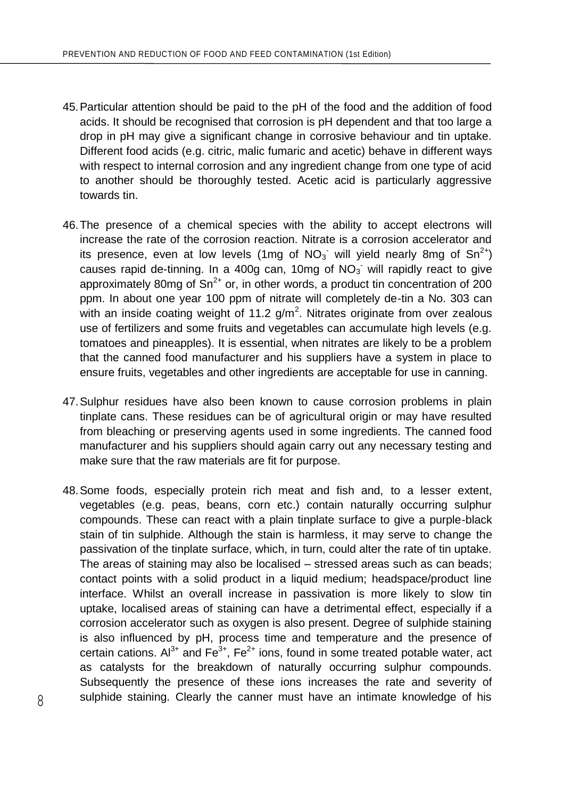- 45.Particular attention should be paid to the pH of the food and the addition of food acids. It should be recognised that corrosion is pH dependent and that too large a drop in pH may give a significant change in corrosive behaviour and tin uptake. Different food acids (e.g. citric, malic fumaric and acetic) behave in different ways with respect to internal corrosion and any ingredient change from one type of acid to another should be thoroughly tested. Acetic acid is particularly aggressive towards tin.
- 46.The presence of a chemical species with the ability to accept electrons will increase the rate of the corrosion reaction. Nitrate is a corrosion accelerator and its presence, even at low levels (1mg of  $NO_3$  will yield nearly 8mg of  $Sn^{2+}$ ) causes rapid de-tinning. In a 400g can, 10mg of  $NO<sub>3</sub>$  will rapidly react to give approximately 80mg of  $Sn^{2+}$  or, in other words, a product tin concentration of 200 ppm. In about one year 100 ppm of nitrate will completely de-tin a No. 303 can with an inside coating weight of 11.2  $g/m^2$ . Nitrates originate from over zealous use of fertilizers and some fruits and vegetables can accumulate high levels (e.g. tomatoes and pineapples). It is essential, when nitrates are likely to be a problem that the canned food manufacturer and his suppliers have a system in place to ensure fruits, vegetables and other ingredients are acceptable for use in canning.
- 47.Sulphur residues have also been known to cause corrosion problems in plain tinplate cans. These residues can be of agricultural origin or may have resulted from bleaching or preserving agents used in some ingredients. The canned food manufacturer and his suppliers should again carry out any necessary testing and make sure that the raw materials are fit for purpose.
- 48.Some foods, especially protein rich meat and fish and, to a lesser extent, vegetables (e.g. peas, beans, corn etc.) contain naturally occurring sulphur compounds. These can react with a plain tinplate surface to give a purple-black stain of tin sulphide. Although the stain is harmless, it may serve to change the passivation of the tinplate surface, which, in turn, could alter the rate of tin uptake. The areas of staining may also be localised – stressed areas such as can beads; contact points with a solid product in a liquid medium; headspace/product line interface. Whilst an overall increase in passivation is more likely to slow tin uptake, localised areas of staining can have a detrimental effect, especially if a corrosion accelerator such as oxygen is also present. Degree of sulphide staining is also influenced by pH, process time and temperature and the presence of certain cations.  $Al^{3+}$  and  $Fe^{3+}$ ,  $Fe^{2+}$  ions, found in some treated potable water, act as catalysts for the breakdown of naturally occurring sulphur compounds. Subsequently the presence of these ions increases the rate and severity of sulphide staining. Clearly the canner must have an intimate knowledge of his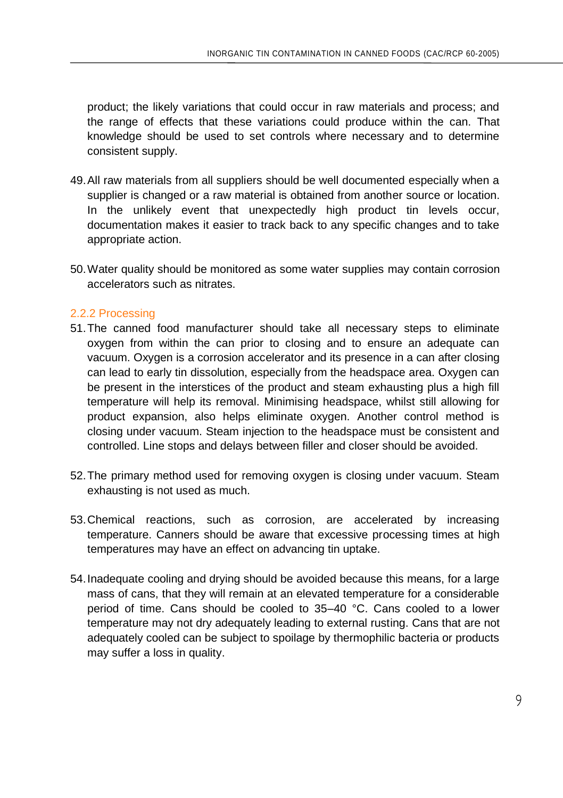product; the likely variations that could occur in raw materials and process; and the range of effects that these variations could produce within the can. That knowledge should be used to set controls where necessary and to determine consistent supply.

- 49.All raw materials from all suppliers should be well documented especially when a supplier is changed or a raw material is obtained from another source or location. In the unlikely event that unexpectedly high product tin levels occur, documentation makes it easier to track back to any specific changes and to take appropriate action.
- 50.Water quality should be monitored as some water supplies may contain corrosion accelerators such as nitrates.

# 2.2.2 Processing

- 51.The canned food manufacturer should take all necessary steps to eliminate oxygen from within the can prior to closing and to ensure an adequate can vacuum. Oxygen is a corrosion accelerator and its presence in a can after closing can lead to early tin dissolution, especially from the headspace area. Oxygen can be present in the interstices of the product and steam exhausting plus a high fill temperature will help its removal. Minimising headspace, whilst still allowing for product expansion, also helps eliminate oxygen. Another control method is closing under vacuum. Steam injection to the headspace must be consistent and controlled. Line stops and delays between filler and closer should be avoided.
- 52.The primary method used for removing oxygen is closing under vacuum. Steam exhausting is not used as much.
- 53.Chemical reactions, such as corrosion, are accelerated by increasing temperature. Canners should be aware that excessive processing times at high temperatures may have an effect on advancing tin uptake.
- 54.Inadequate cooling and drying should be avoided because this means, for a large mass of cans, that they will remain at an elevated temperature for a considerable period of time. Cans should be cooled to 35–40 °C. Cans cooled to a lower temperature may not dry adequately leading to external rusting. Cans that are not adequately cooled can be subject to spoilage by thermophilic bacteria or products may suffer a loss in quality.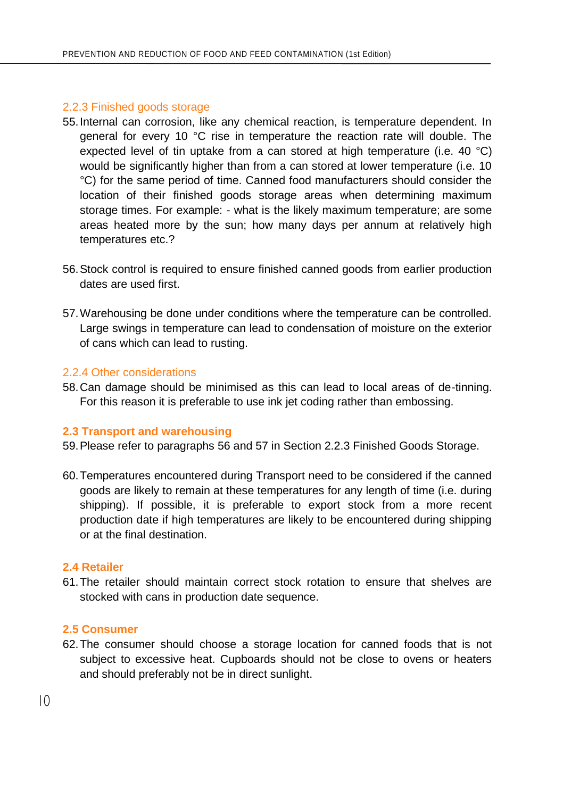### 2.2.3 Finished goods storage

- 55.Internal can corrosion, like any chemical reaction, is temperature dependent. In general for every 10 °C rise in temperature the reaction rate will double. The expected level of tin uptake from a can stored at high temperature (i.e. 40  $^{\circ}$ C) would be significantly higher than from a can stored at lower temperature (i.e. 10 °C) for the same period of time. Canned food manufacturers should consider the location of their finished goods storage areas when determining maximum storage times. For example: - what is the likely maximum temperature; are some areas heated more by the sun; how many days per annum at relatively high temperatures etc.?
- 56.Stock control is required to ensure finished canned goods from earlier production dates are used first.
- 57.Warehousing be done under conditions where the temperature can be controlled. Large swings in temperature can lead to condensation of moisture on the exterior of cans which can lead to rusting.

# 2.2.4 Other considerations

58.Can damage should be minimised as this can lead to local areas of de-tinning. For this reason it is preferable to use ink jet coding rather than embossing.

#### **2.3 Transport and warehousing**

- 59.Please refer to paragraphs 56 and 57 in Section 2.2.3 Finished Goods Storage.
- 60.Temperatures encountered during Transport need to be considered if the canned goods are likely to remain at these temperatures for any length of time (i.e. during shipping). If possible, it is preferable to export stock from a more recent production date if high temperatures are likely to be encountered during shipping or at the final destination.

#### **2.4 Retailer**

61.The retailer should maintain correct stock rotation to ensure that shelves are stocked with cans in production date sequence.

#### **2.5 Consumer**

62.The consumer should choose a storage location for canned foods that is not subject to excessive heat. Cupboards should not be close to ovens or heaters and should preferably not be in direct sunlight.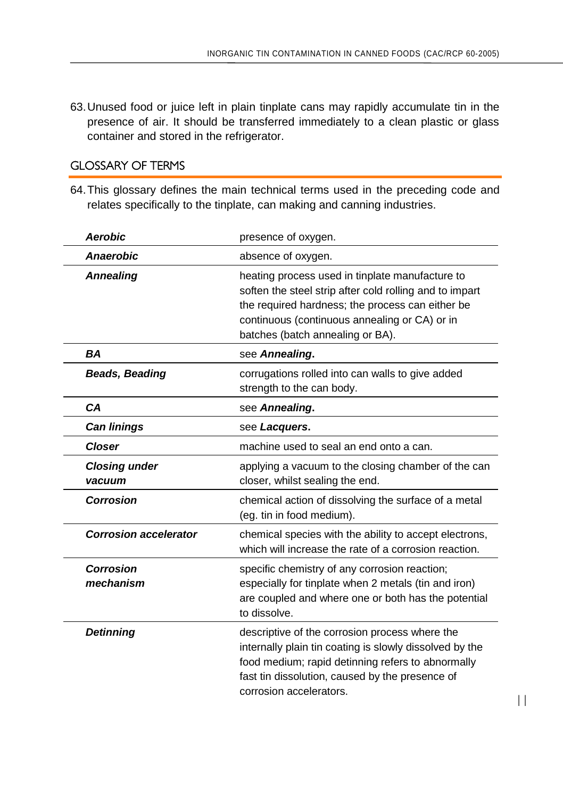63.Unused food or juice left in plain tinplate cans may rapidly accumulate tin in the presence of air. It should be transferred immediately to a clean plastic or glass container and stored in the refrigerator.

# GLOSSARY OF TERMS

64.This glossary defines the main technical terms used in the preceding code and relates specifically to the tinplate, can making and canning industries.

| <b>Aerobic</b>                 | presence of oxygen.                                                                                                                                                                                                                                 |
|--------------------------------|-----------------------------------------------------------------------------------------------------------------------------------------------------------------------------------------------------------------------------------------------------|
| <b>Anaerobic</b>               | absence of oxygen.                                                                                                                                                                                                                                  |
| <b>Annealing</b>               | heating process used in tinplate manufacture to<br>soften the steel strip after cold rolling and to impart<br>the required hardness; the process can either be<br>continuous (continuous annealing or CA) or in<br>batches (batch annealing or BA). |
| BA                             | see Annealing.                                                                                                                                                                                                                                      |
| <b>Beads, Beading</b>          | corrugations rolled into can walls to give added<br>strength to the can body.                                                                                                                                                                       |
| CА                             | see Annealing.                                                                                                                                                                                                                                      |
| <b>Can linings</b>             | see Lacquers.                                                                                                                                                                                                                                       |
| <b>Closer</b>                  | machine used to seal an end onto a can.                                                                                                                                                                                                             |
| <b>Closing under</b><br>vacuum | applying a vacuum to the closing chamber of the can<br>closer, whilst sealing the end.                                                                                                                                                              |
| Corrosion                      | chemical action of dissolving the surface of a metal<br>(eq. tin in food medium).                                                                                                                                                                   |
| <b>Corrosion accelerator</b>   | chemical species with the ability to accept electrons,<br>which will increase the rate of a corrosion reaction.                                                                                                                                     |
| Corrosion<br>mechanism         | specific chemistry of any corrosion reaction;<br>especially for tinplate when 2 metals (tin and iron)<br>are coupled and where one or both has the potential<br>to dissolve.                                                                        |
| <b>Detinning</b>               | descriptive of the corrosion process where the<br>internally plain tin coating is slowly dissolved by the<br>food medium; rapid detinning refers to abnormally<br>fast tin dissolution, caused by the presence of<br>corrosion accelerators.        |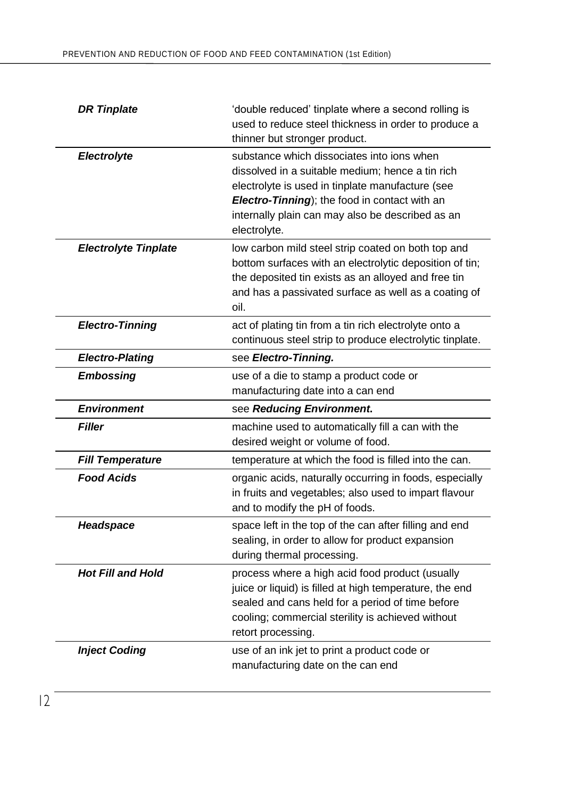| <b>DR Tinplate</b>          | 'double reduced' tinplate where a second rolling is<br>used to reduce steel thickness in order to produce a<br>thinner but stronger product.                                                                                                                            |
|-----------------------------|-------------------------------------------------------------------------------------------------------------------------------------------------------------------------------------------------------------------------------------------------------------------------|
| Electrolyte                 | substance which dissociates into ions when<br>dissolved in a suitable medium; hence a tin rich<br>electrolyte is used in tinplate manufacture (see<br>Electro-Tinning); the food in contact with an<br>internally plain can may also be described as an<br>electrolyte. |
| <b>Electrolyte Tinplate</b> | low carbon mild steel strip coated on both top and<br>bottom surfaces with an electrolytic deposition of tin;<br>the deposited tin exists as an alloyed and free tin<br>and has a passivated surface as well as a coating of<br>oil.                                    |
| <b>Electro-Tinning</b>      | act of plating tin from a tin rich electrolyte onto a<br>continuous steel strip to produce electrolytic tinplate.                                                                                                                                                       |
| <b>Electro-Plating</b>      | see Electro-Tinning.                                                                                                                                                                                                                                                    |
| Embossing                   | use of a die to stamp a product code or<br>manufacturing date into a can end                                                                                                                                                                                            |
|                             |                                                                                                                                                                                                                                                                         |
| <b>Environment</b>          | see Reducing Environment.                                                                                                                                                                                                                                               |
| <b>Filler</b>               | machine used to automatically fill a can with the<br>desired weight or volume of food.                                                                                                                                                                                  |
| <b>Fill Temperature</b>     | temperature at which the food is filled into the can.                                                                                                                                                                                                                   |
| <b>Food Acids</b>           | organic acids, naturally occurring in foods, especially<br>in fruits and vegetables; also used to impart flavour<br>and to modify the pH of foods.                                                                                                                      |
| Headspace                   | space left in the top of the can after filling and end<br>sealing, in order to allow for product expansion<br>during thermal processing.                                                                                                                                |
| <b>Hot Fill and Hold</b>    | process where a high acid food product (usually<br>juice or liquid) is filled at high temperature, the end<br>sealed and cans held for a period of time before<br>cooling; commercial sterility is achieved without<br>retort processing.                               |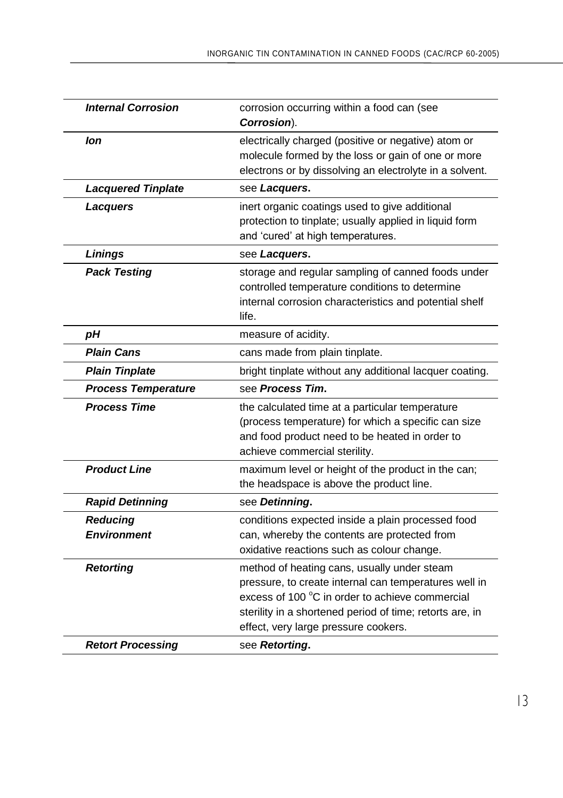| <b>Internal Corrosion</b>                    | corrosion occurring within a food can (see<br>Corrosion).                                                                                                                                                                                                                     |
|----------------------------------------------|-------------------------------------------------------------------------------------------------------------------------------------------------------------------------------------------------------------------------------------------------------------------------------|
| lon                                          | electrically charged (positive or negative) atom or<br>molecule formed by the loss or gain of one or more<br>electrons or by dissolving an electrolyte in a solvent.                                                                                                          |
| <b>Lacquered Tinplate</b>                    | see Lacquers.                                                                                                                                                                                                                                                                 |
| <b>Lacquers</b>                              | inert organic coatings used to give additional<br>protection to tinplate; usually applied in liquid form<br>and 'cured' at high temperatures.                                                                                                                                 |
| <b>Linings</b>                               | see Lacquers.                                                                                                                                                                                                                                                                 |
| <b>Pack Testing</b>                          | storage and regular sampling of canned foods under<br>controlled temperature conditions to determine<br>internal corrosion characteristics and potential shelf<br>life.                                                                                                       |
| рH                                           | measure of acidity.                                                                                                                                                                                                                                                           |
| <b>Plain Cans</b>                            | cans made from plain tinplate.                                                                                                                                                                                                                                                |
| <b>Plain Tinplate</b>                        | bright tinplate without any additional lacquer coating.                                                                                                                                                                                                                       |
| <b>Process Temperature</b>                   | see Process Tim.                                                                                                                                                                                                                                                              |
| <b>Process Time</b>                          | the calculated time at a particular temperature<br>(process temperature) for which a specific can size<br>and food product need to be heated in order to<br>achieve commercial sterility.                                                                                     |
| <b>Product Line</b>                          | maximum level or height of the product in the can;<br>the headspace is above the product line.                                                                                                                                                                                |
| <b>Rapid Detinning</b>                       | see Detinning.                                                                                                                                                                                                                                                                |
| <b>Reducing</b><br><b>Environment</b>        | conditions expected inside a plain processed food<br>can, whereby the contents are protected from<br>oxidative reactions such as colour change.                                                                                                                               |
| <b>Retorting</b><br><b>Retort Processing</b> | method of heating cans, usually under steam<br>pressure, to create internal can temperatures well in<br>excess of 100 °C in order to achieve commercial<br>sterility in a shortened period of time; retorts are, in<br>effect, very large pressure cookers.<br>see Retorting. |
|                                              |                                                                                                                                                                                                                                                                               |